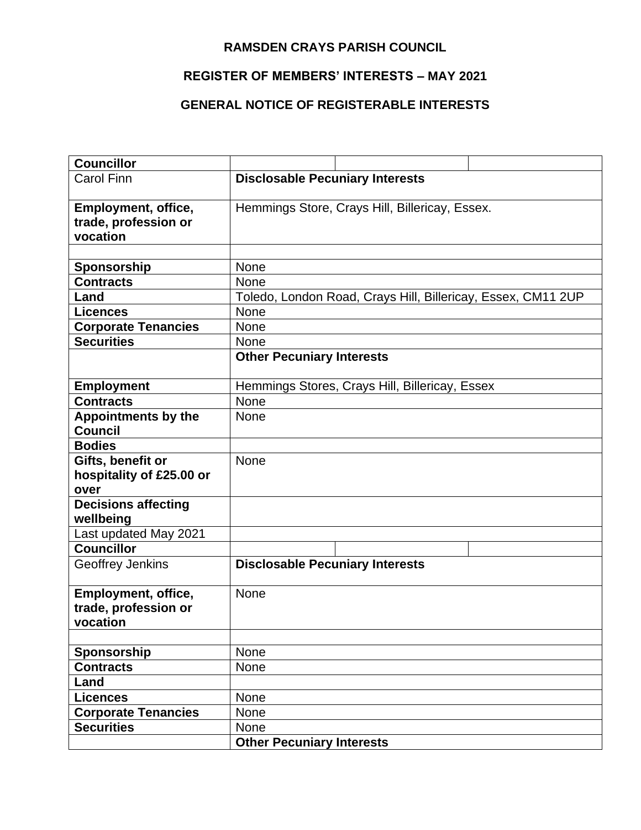## **RAMSDEN CRAYS PARISH COUNCIL**

## **REGISTER OF MEMBERS' INTERESTS – MAY 2021**

## **GENERAL NOTICE OF REGISTERABLE INTERESTS**

| <b>Councillor</b>                       |                                                              |
|-----------------------------------------|--------------------------------------------------------------|
| <b>Carol Finn</b>                       | <b>Disclosable Pecuniary Interests</b>                       |
| Employment, office,                     | Hemmings Store, Crays Hill, Billericay, Essex.               |
| trade, profession or                    |                                                              |
| vocation                                |                                                              |
|                                         |                                                              |
| Sponsorship                             | <b>None</b>                                                  |
| <b>Contracts</b>                        | None                                                         |
| Land                                    | Toledo, London Road, Crays Hill, Billericay, Essex, CM11 2UP |
| <b>Licences</b>                         | <b>None</b>                                                  |
| <b>Corporate Tenancies</b>              | None                                                         |
| <b>Securities</b>                       | None                                                         |
|                                         | <b>Other Pecuniary Interests</b>                             |
| <b>Employment</b>                       | Hemmings Stores, Crays Hill, Billericay, Essex               |
| <b>Contracts</b>                        | None                                                         |
| <b>Appointments by the</b>              | None                                                         |
| <b>Council</b>                          |                                                              |
| <b>Bodies</b>                           |                                                              |
| Gifts, benefit or                       | None                                                         |
| hospitality of £25.00 or                |                                                              |
| over                                    |                                                              |
| <b>Decisions affecting</b><br>wellbeing |                                                              |
| Last updated May 2021                   |                                                              |
| <b>Councillor</b>                       |                                                              |
| Geoffrey Jenkins                        | <b>Disclosable Pecuniary Interests</b>                       |
| Employment, office,                     | None                                                         |
| trade, profession or                    |                                                              |
| vocation                                |                                                              |
|                                         |                                                              |
| Sponsorship                             | None                                                         |
| <b>Contracts</b>                        | <b>None</b>                                                  |
| Land                                    |                                                              |
| <b>Licences</b>                         | None                                                         |
| <b>Corporate Tenancies</b>              | None                                                         |
| <b>Securities</b>                       | None                                                         |
|                                         | <b>Other Pecuniary Interests</b>                             |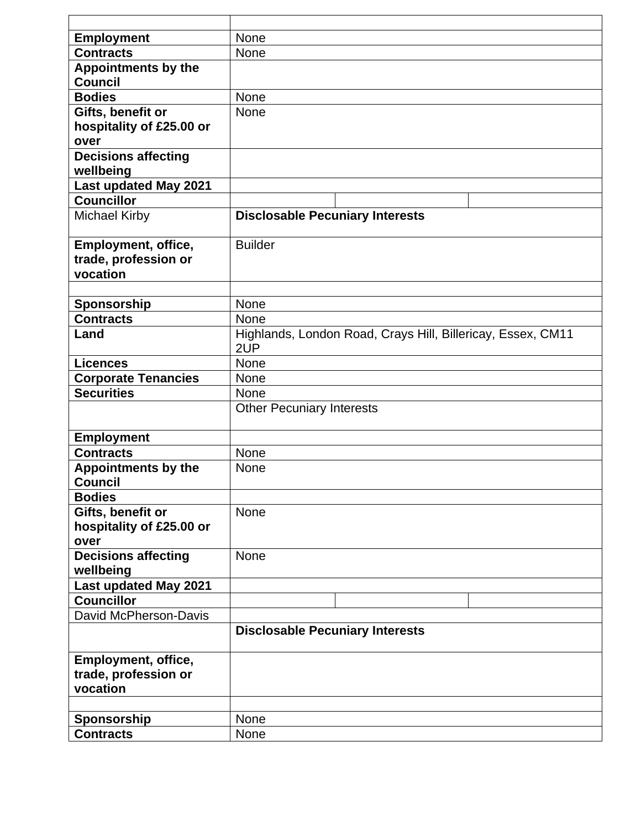| <b>Employment</b>                                 | None                                                        |
|---------------------------------------------------|-------------------------------------------------------------|
| <b>Contracts</b>                                  | None                                                        |
| Appointments by the                               |                                                             |
| <b>Council</b>                                    |                                                             |
| <b>Bodies</b>                                     | None                                                        |
| Gifts, benefit or                                 | <b>None</b>                                                 |
| hospitality of £25.00 or                          |                                                             |
| over                                              |                                                             |
| <b>Decisions affecting</b>                        |                                                             |
| wellbeing                                         |                                                             |
| Last updated May 2021                             |                                                             |
| <b>Councillor</b>                                 |                                                             |
| <b>Michael Kirby</b>                              | <b>Disclosable Pecuniary Interests</b>                      |
|                                                   |                                                             |
| Employment, office,                               | <b>Builder</b>                                              |
| trade, profession or                              |                                                             |
| vocation                                          |                                                             |
|                                                   |                                                             |
| Sponsorship                                       | None                                                        |
| <b>Contracts</b>                                  | None                                                        |
| Land                                              | Highlands, London Road, Crays Hill, Billericay, Essex, CM11 |
|                                                   | 2UP                                                         |
| <b>Licences</b>                                   | None                                                        |
| <b>Corporate Tenancies</b>                        | <b>None</b>                                                 |
| <b>Securities</b>                                 | None                                                        |
|                                                   | <b>Other Pecuniary Interests</b>                            |
|                                                   |                                                             |
| <b>Employment</b>                                 |                                                             |
| <b>Contracts</b>                                  | <b>None</b>                                                 |
| <b>Appointments by the</b>                        | <b>None</b>                                                 |
| <b>Council</b>                                    |                                                             |
| <b>Bodies</b>                                     |                                                             |
| Gifts, benefit or                                 | None                                                        |
| hospitality of £25.00 or                          |                                                             |
| over                                              | <b>None</b>                                                 |
| <b>Decisions affecting</b>                        |                                                             |
| wellbeing                                         |                                                             |
| <b>Last updated May 2021</b><br><b>Councillor</b> |                                                             |
| David McPherson-Davis                             |                                                             |
|                                                   |                                                             |
|                                                   | <b>Disclosable Pecuniary Interests</b>                      |
| <b>Employment, office,</b>                        |                                                             |
| trade, profession or                              |                                                             |
| vocation                                          |                                                             |
|                                                   |                                                             |
| Sponsorship                                       | None                                                        |
| <b>Contracts</b>                                  | None                                                        |